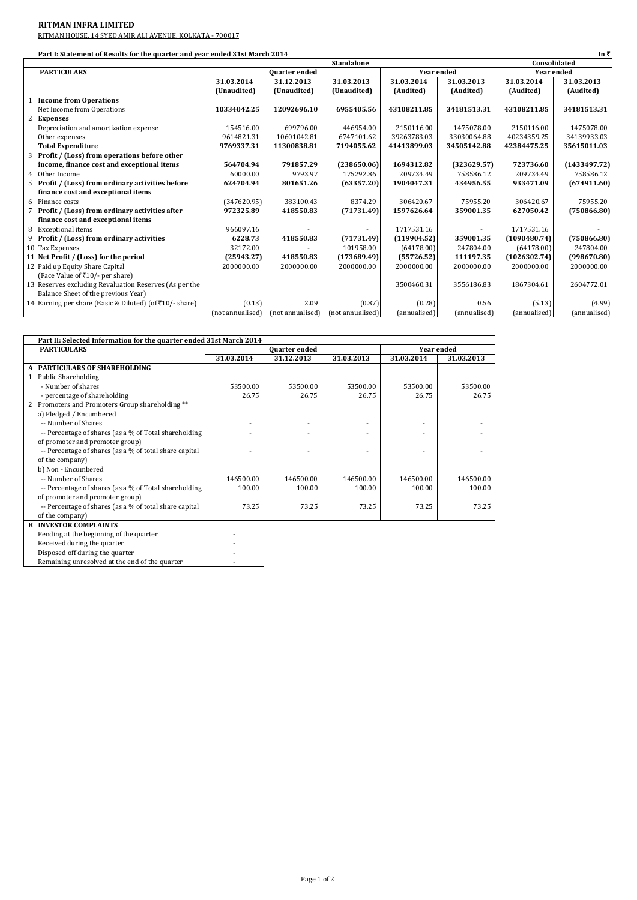## **RITMAN INFRA LIMITED**

RITMAN HOUSE, 14 SYED AMIR ALI AVENUE, KOLKATA - 700017

|                | Part I: Statement of Results for the quarter and year ended 31st March 2014<br>In ₹ |                      |                  |                  |                   |              |              |              |
|----------------|-------------------------------------------------------------------------------------|----------------------|------------------|------------------|-------------------|--------------|--------------|--------------|
|                |                                                                                     | <b>Standalone</b>    |                  |                  | Consolidated      |              |              |              |
|                | <b>PARTICULARS</b>                                                                  | <b>Quarter</b> ended |                  |                  | <b>Year ended</b> |              | Year ended   |              |
|                |                                                                                     | 31.03.2014           | 31.12.2013       | 31.03.2013       | 31.03.2014        | 31.03.2013   | 31.03.2014   | 31.03.2013   |
|                |                                                                                     | (Unaudited)          | (Unaudited)      | (Unaudited)      | (Audited)         | (Audited)    | (Audited)    | (Audited)    |
|                | <b>Income from Operations</b>                                                       |                      |                  |                  |                   |              |              |              |
|                | Net Income from Operations                                                          | 10334042.25          | 12092696.10      | 6955405.56       | 43108211.85       | 34181513.31  | 43108211.85  | 34181513.31  |
| $\overline{2}$ | <b>Expenses</b>                                                                     |                      |                  |                  |                   |              |              |              |
|                | Depreciation and amortization expense                                               | 154516.00            | 699796.00        | 446954.00        | 2150116.00        | 1475078.00   | 2150116.00   | 1475078.00   |
|                | Other expenses                                                                      | 9614821.31           | 10601042.81      | 6747101.62       | 39263783.03       | 33030064.88  | 40234359.25  | 34139933.03  |
|                | <b>Total Expenditure</b>                                                            | 9769337.31           | 11300838.81      | 7194055.62       | 41413899.03       | 34505142.88  | 42384475.25  | 35615011.03  |
| 3              | Profit / (Loss) from operations before other                                        |                      |                  |                  |                   |              |              |              |
|                | income, finance cost and exceptional items                                          | 564704.94            | 791857.29        | (238650.06)      | 1694312.82        | (323629.57)  | 723736.60    | (1433497.72) |
| $\overline{4}$ | Other Income                                                                        | 60000.00             | 9793.97          | 175292.86        | 209734.49         | 758586.12    | 209734.49    | 758586.12    |
| 5              | Profit / (Loss) from ordinary activities before                                     | 624704.94            | 801651.26        | (63357.20)       | 1904047.31        | 434956.55    | 933471.09    | (674911.60)  |
|                | finance cost and exceptional items                                                  |                      |                  |                  |                   |              |              |              |
| 6              | Finance costs                                                                       | (347620.95)          | 383100.43        | 8374.29          | 306420.67         | 75955.20     | 306420.67    | 75955.20     |
| 7              | Profit / (Loss) from ordinary activities after                                      | 972325.89            | 418550.83        | (71731.49)       | 1597626.64        | 359001.35    | 627050.42    | (750866.80)  |
|                | finance cost and exceptional items                                                  |                      |                  |                  |                   |              |              |              |
| 8              | <b>Exceptional items</b>                                                            | 966097.16            |                  |                  | 1717531.16        |              | 1717531.16   |              |
| 9              | <b>Profit / (Loss) from ordinary activities</b>                                     | 6228.73              | 418550.83        | (71731.49)       | (119904.52)       | 359001.35    | (1090480.74) | (750866.80)  |
|                | 10 Tax Expenses                                                                     | 32172.00             |                  | 101958.00        | (64178.00)        | 247804.00    | (64178.00)   | 247804.00    |
|                | 11 Net Profit / (Loss) for the period                                               | (25943.27)           | 418550.83        | (173689.49)      | (55726.52)        | 111197.35    | (1026302.74) | (998670.80)  |
|                | 12 Paid up Equity Share Capital                                                     | 2000000.00           | 2000000.00       | 2000000.00       | 2000000.00        | 2000000.00   | 2000000.00   | 2000000.00   |
|                | (Face Value of ₹10/- per share)                                                     |                      |                  |                  |                   |              |              |              |
|                | 13 Reserves excluding Revaluation Reserves (As per the                              |                      |                  |                  | 3500460.31        | 3556186.83   | 1867304.61   | 2604772.01   |
|                | Balance Sheet of the previous Year)                                                 |                      |                  |                  |                   |              |              |              |
|                | 14 Earning per share (Basic & Diluted) (of₹10/- share)                              | (0.13)               | 2.09             | (0.87)           | (0.28)            | 0.56         | (5.13)       | (4.99)       |
|                |                                                                                     | (not annualised)     | (not annualised) | (not annualised) | (annualised)      | (annualised) | (annualised) | (annualised) |

| Part II: Selected Information for the quarter ended 31st March 2014 |                                                        |                      |            |            |            |            |  |
|---------------------------------------------------------------------|--------------------------------------------------------|----------------------|------------|------------|------------|------------|--|
|                                                                     | <b>PARTICULARS</b>                                     | <b>Ouarter ended</b> |            |            | Year ended |            |  |
|                                                                     |                                                        | 31.03.2014           | 31.12.2013 | 31.03.2013 | 31.03.2014 | 31.03.2013 |  |
| $\mathbf{A}$                                                        | <b>PARTICULARS OF SHAREHOLDING</b>                     |                      |            |            |            |            |  |
|                                                                     | 1 Public Shareholding                                  |                      |            |            |            |            |  |
|                                                                     | - Number of shares                                     | 53500.00             | 53500.00   | 53500.00   | 53500.00   | 53500.00   |  |
|                                                                     | - percentage of shareholding                           | 26.75                | 26.75      | 26.75      | 26.75      | 26.75      |  |
| 2                                                                   | Promoters and Promoters Group shareholding **          |                      |            |            |            |            |  |
|                                                                     | a) Pledged / Encumbered                                |                      |            |            |            |            |  |
|                                                                     | -- Number of Shares                                    |                      |            |            |            |            |  |
|                                                                     | -- Percentage of shares (as a % of Total shareholding  |                      |            |            |            |            |  |
|                                                                     | of promoter and promoter group)                        |                      |            |            |            |            |  |
|                                                                     | -- Percentage of shares (as a % of total share capital |                      |            |            |            |            |  |
|                                                                     | of the company)                                        |                      |            |            |            |            |  |
|                                                                     | b) Non - Encumbered                                    |                      |            |            |            |            |  |
|                                                                     | -- Number of Shares                                    | 146500.00            | 146500.00  | 146500.00  | 146500.00  | 146500.00  |  |
|                                                                     | -- Percentage of shares (as a % of Total shareholding  | 100.00               | 100.00     | 100.00     | 100.00     | 100.00     |  |
|                                                                     | of promoter and promoter group)                        |                      |            |            |            |            |  |
|                                                                     | -- Percentage of shares (as a % of total share capital | 73.25                | 73.25      | 73.25      | 73.25      | 73.25      |  |
|                                                                     | of the company)                                        |                      |            |            |            |            |  |
| B.                                                                  | <b>INVESTOR COMPLAINTS</b>                             |                      |            |            |            |            |  |
|                                                                     | Pending at the beginning of the quarter                |                      |            |            |            |            |  |
|                                                                     | Received during the quarter                            |                      |            |            |            |            |  |

Disposed off during the quarter and the set of the set of the set of the set of the set of the set of the set of the set of the set of the set of the set of the set of the set of the set of the set of the set of the set of Remaining unresolved at the end of the quarter  $\vert$